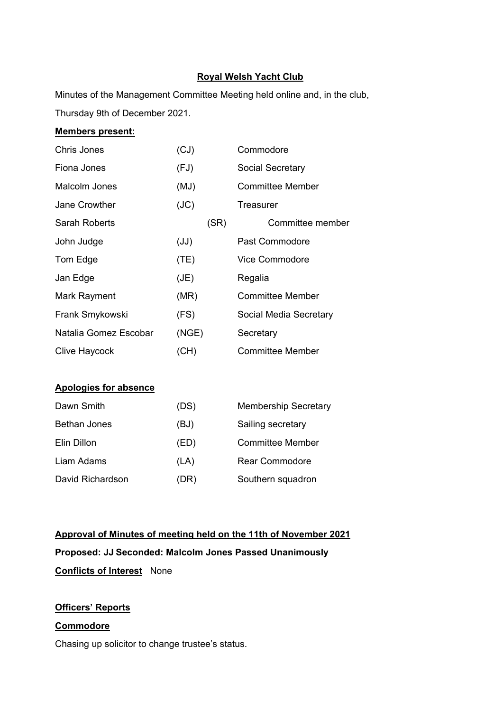## **Royal Welsh Yacht Club**

Minutes of the Management Committee Meeting held online and, in the club, Thursday 9th of December 2021.

## **Members present:**

| Chris Jones           | (CJ)  | Commodore               |
|-----------------------|-------|-------------------------|
| Fiona Jones           | (FJ)  | Social Secretary        |
| Malcolm Jones         | (MJ)  | <b>Committee Member</b> |
| Jane Crowther         | (JC)  | Treasurer               |
| <b>Sarah Roberts</b>  | (SR)  | Committee member        |
| John Judge            | (JJ)  | Past Commodore          |
| Tom Edge              | (TE)  | <b>Vice Commodore</b>   |
| Jan Edge              | J(E)  | Regalia                 |
| Mark Rayment          | (MR)  | <b>Committee Member</b> |
| Frank Smykowski       | (FS)  | Social Media Secretary  |
| Natalia Gomez Escobar | (NGE) | Secretary               |
| <b>Clive Haycock</b>  | (CH)  | <b>Committee Member</b> |

#### **Apologies for absence**

| Dawn Smith       | (DS) | <b>Membership Secretary</b> |
|------------------|------|-----------------------------|
| Bethan Jones     | (BJ) | Sailing secretary           |
| Elin Dillon      | (ED) | <b>Committee Member</b>     |
| Liam Adams       | (LA) | <b>Rear Commodore</b>       |
| David Richardson | (DR) | Southern squadron           |

# **Approval of Minutes of meeting held on the 11th of November 2021 Proposed: JJ Seconded: Malcolm Jones Passed Unanimously Conflicts of Interest** None

# **Officers' Reports**

# **Commodore**

Chasing up solicitor to change trustee's status.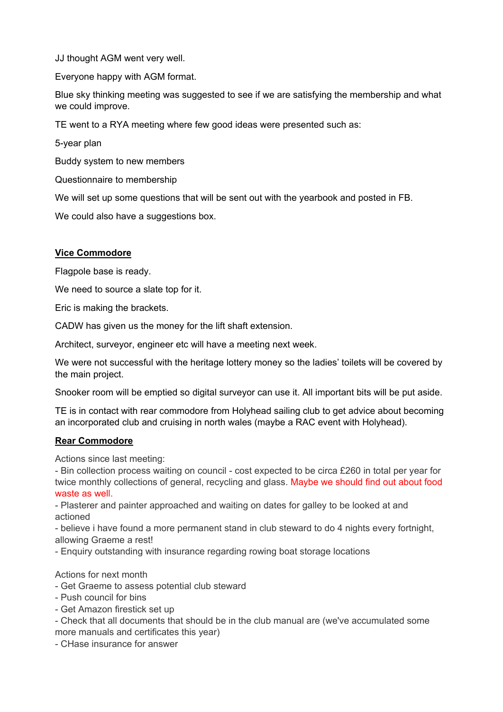JJ thought AGM went very well.

Everyone happy with AGM format.

Blue sky thinking meeting was suggested to see if we are satisfying the membership and what we could improve.

TE went to a RYA meeting where few good ideas were presented such as:

5-year plan

Buddy system to new members

Questionnaire to membership

We will set up some questions that will be sent out with the yearbook and posted in FB.

We could also have a suggestions box.

## **Vice Commodore**

Flagpole base is ready.

We need to source a slate top for it.

Eric is making the brackets.

CADW has given us the money for the lift shaft extension.

Architect, surveyor, engineer etc will have a meeting next week.

We were not successful with the heritage lottery money so the ladies' toilets will be covered by the main project.

Snooker room will be emptied so digital surveyor can use it. All important bits will be put aside.

TE is in contact with rear commodore from Holyhead sailing club to get advice about becoming an incorporated club and cruising in north wales (maybe a RAC event with Holyhead).

# **Rear Commodore**

Actions since last meeting:

- Bin collection process waiting on council - cost expected to be circa £260 in total per year for twice monthly collections of general, recycling and glass. Maybe we should find out about food waste as well.

- Plasterer and painter approached and waiting on dates for galley to be looked at and actioned

- believe i have found a more permanent stand in club steward to do 4 nights every fortnight, allowing Graeme a rest!

- Enquiry outstanding with insurance regarding rowing boat storage locations

#### Actions for next month

- Get Graeme to assess potential club steward
- Push council for bins
- Get Amazon firestick set up
- Check that all documents that should be in the club manual are (we've accumulated some more manuals and certificates this year)
- CHase insurance for answer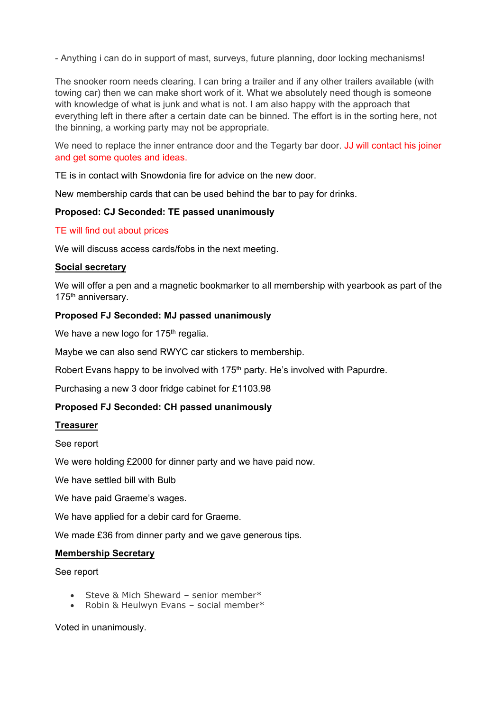- Anything i can do in support of mast, surveys, future planning, door locking mechanisms!

The snooker room needs clearing. I can bring a trailer and if any other trailers available (with towing car) then we can make short work of it. What we absolutely need though is someone with knowledge of what is junk and what is not. I am also happy with the approach that everything left in there after a certain date can be binned. The effort is in the sorting here, not the binning, a working party may not be appropriate.

We need to replace the inner entrance door and the Tegarty bar door. JJ will contact his joiner and get some quotes and ideas.

TE is in contact with Snowdonia fire for advice on the new door.

New membership cards that can be used behind the bar to pay for drinks.

#### **Proposed: CJ Seconded: TE passed unanimously**

#### TE will find out about prices

We will discuss access cards/fobs in the next meeting.

#### **Social secretary**

We will offer a pen and a magnetic bookmarker to all membership with yearbook as part of the 175<sup>th</sup> anniversary.

#### **Proposed FJ Seconded: MJ passed unanimously**

We have a new logo for  $175<sup>th</sup>$  regalia.

Maybe we can also send RWYC car stickers to membership.

Robert Evans happy to be involved with 175th party. He's involved with Papurdre.

Purchasing a new 3 door fridge cabinet for £1103.98

#### **Proposed FJ Seconded: CH passed unanimously**

#### **Treasurer**

See report

We were holding £2000 for dinner party and we have paid now.

We have settled bill with Bulb

We have paid Graeme's wages.

We have applied for a debir card for Graeme.

We made £36 from dinner party and we gave generous tips.

#### **Membership Secretary**

See report

- Steve & Mich Sheward senior member\*
- Robin & Heulwyn Evans social member\*

Voted in unanimously.